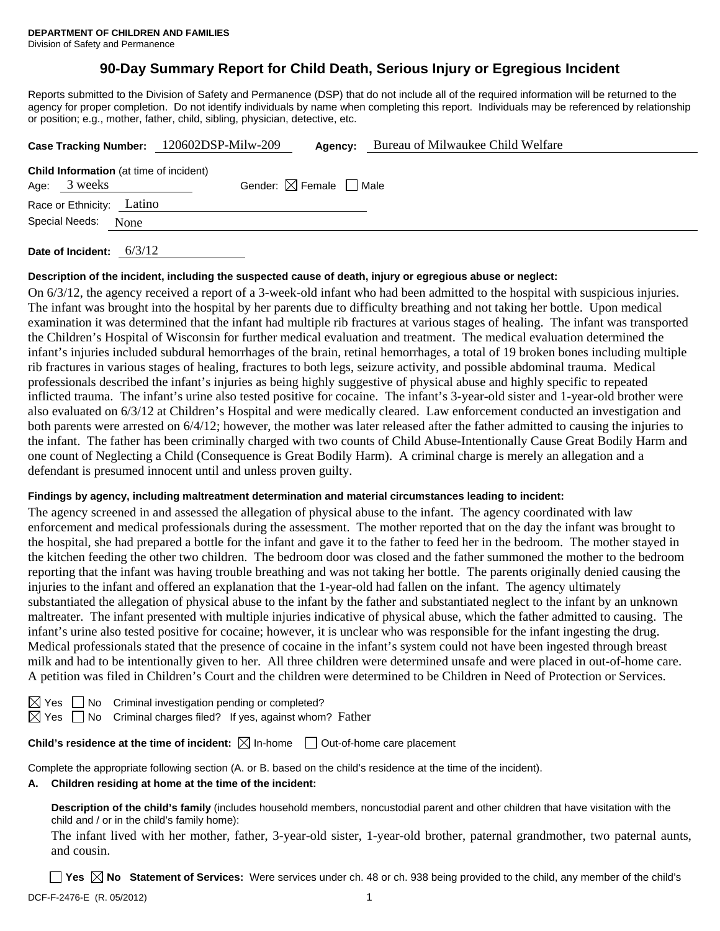# **90-Day Summary Report for Child Death, Serious Injury or Egregious Incident**

Reports submitted to the Division of Safety and Permanence (DSP) that do not include all of the required information will be returned to the agency for proper completion. Do not identify individuals by name when completing this report. Individuals may be referenced by relationship or position; e.g., mother, father, child, sibling, physician, detective, etc.

|                                                                |      | Case Tracking Number: 120602DSP-Milw-209 | Agency:                                | Bureau of Milwaukee Child Welfare |
|----------------------------------------------------------------|------|------------------------------------------|----------------------------------------|-----------------------------------|
| <b>Child Information</b> (at time of incident)<br>Age: 3 weeks |      |                                          | Gender: $\boxtimes$ Female $\Box$ Male |                                   |
| Race or Ethnicity: Latino                                      |      |                                          |                                        |                                   |
| Special Needs:                                                 | None |                                          |                                        |                                   |
|                                                                |      |                                          |                                        |                                   |

**Date of Incident:** 6/3/12

#### **Description of the incident, including the suspected cause of death, injury or egregious abuse or neglect:**

On 6/3/12, the agency received a report of a 3-week-old infant who had been admitted to the hospital with suspicious injuries. The infant was brought into the hospital by her parents due to difficulty breathing and not taking her bottle. Upon medical examination it was determined that the infant had multiple rib fractures at various stages of healing. The infant was transported the Children's Hospital of Wisconsin for further medical evaluation and treatment. The medical evaluation determined the infant's injuries included subdural hemorrhages of the brain, retinal hemorrhages, a total of 19 broken bones including multiple rib fractures in various stages of healing, fractures to both legs, seizure activity, and possible abdominal trauma. Medical professionals described the infant's injuries as being highly suggestive of physical abuse and highly specific to repeated inflicted trauma. The infant's urine also tested positive for cocaine. The infant's 3-year-old sister and 1-year-old brother were also evaluated on 6/3/12 at Children's Hospital and were medically cleared. Law enforcement conducted an investigation and both parents were arrested on 6/4/12; however, the mother was later released after the father admitted to causing the injuries to the infant. The father has been criminally charged with two counts of Child Abuse-Intentionally Cause Great Bodily Harm and one count of Neglecting a Child (Consequence is Great Bodily Harm). A criminal charge is merely an allegation and a defendant is presumed innocent until and unless proven guilty.

#### **Findings by agency, including maltreatment determination and material circumstances leading to incident:**

The agency screened in and assessed the allegation of physical abuse to the infant. The agency coordinated with law enforcement and medical professionals during the assessment. The mother reported that on the day the infant was brought to the hospital, she had prepared a bottle for the infant and gave it to the father to feed her in the bedroom. The mother stayed in the kitchen feeding the other two children. The bedroom door was closed and the father summoned the mother to the bedroom reporting that the infant was having trouble breathing and was not taking her bottle. The parents originally denied causing the injuries to the infant and offered an explanation that the 1-year-old had fallen on the infant. The agency ultimately substantiated the allegation of physical abuse to the infant by the father and substantiated neglect to the infant by an unknown maltreater. The infant presented with multiple injuries indicative of physical abuse, which the father admitted to causing. The infant's urine also tested positive for cocaine; however, it is unclear who was responsible for the infant ingesting the drug. Medical professionals stated that the presence of cocaine in the infant's system could not have been ingested through breast milk and had to be intentionally given to her. All three children were determined unsafe and were placed in out-of-home care. A petition was filed in Children's Court and the children were determined to be Children in Need of Protection or Services.

|  | $\boxtimes$ Yes $\Box$ No Criminal investigation pending or completed? |
|--|------------------------------------------------------------------------|
|  |                                                                        |

 $\boxtimes$  Yes  $\Box$  No Criminal charges filed? If yes, against whom? Father

### **Child's residence at the time of incident:**  $\boxtimes$  In-home  $\Box$  Out-of-home care placement

Complete the appropriate following section (A. or B. based on the child's residence at the time of the incident).

### **A. Children residing at home at the time of the incident:**

**Description of the child's family** (includes household members, noncustodial parent and other children that have visitation with the child and / or in the child's family home):

The infant lived with her mother, father, 3-year-old sister, 1-year-old brother, paternal grandmother, two paternal aunts, and cousin.

DCF-F-2476-E (R. 05/2012) 1 ■ Yes △ No Statement of Services: Were services under ch. 48 or ch. 938 being provided to the child, any member of the child's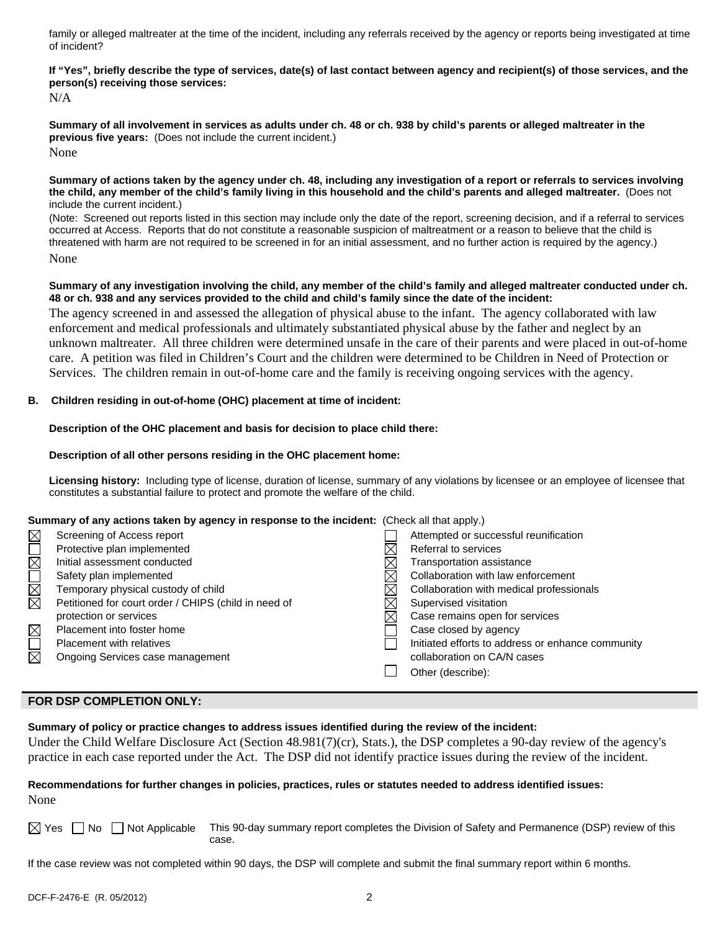family or alleged maltreater at the time of the incident, including any referrals received by the agency or reports being investigated at time of incident?

## **If "Yes", briefly describe the type of services, date(s) of last contact between agency and recipient(s) of those services, and the person(s) receiving those services:**

N/A

**Summary of all involvement in services as adults under ch. 48 or ch. 938 by child's parents or alleged maltreater in the previous five years:** (Does not include the current incident.) None

#### **Summary of actions taken by the agency under ch. 48, including any investigation of a report or referrals to services involving the child, any member of the child's family living in this household and the child's parents and alleged maltreater.** (Does not include the current incident.)

(Note: Screened out reports listed in this section may include only the date of the report, screening decision, and if a referral to services occurred at Access. Reports that do not constitute a reasonable suspicion of maltreatment or a reason to believe that the child is threatened with harm are not required to be screened in for an initial assessment, and no further action is required by the agency.) None

#### **Summary of any investigation involving the child, any member of the child's family and alleged maltreater conducted under ch. 48 or ch. 938 and any services provided to the child and child's family since the date of the incident:**

The agency screened in and assessed the allegation of physical abuse to the infant. The agency collaborated with law enforcement and medical professionals and ultimately substantiated physical abuse by the father and neglect by an unknown maltreater. All three children were determined unsafe in the care of their parents and were placed in out-of-home care. A petition was filed in Children's Court and the children were determined to be Children in Need of Protection or Services. The children remain in out-of-home care and the family is receiving ongoing services with the agency.

### **B. Children residing in out-of-home (OHC) placement at time of incident:**

### **Description of the OHC placement and basis for decision to place child there:**

### **Description of all other persons residing in the OHC placement home:**

**Licensing history:** Including type of license, duration of license, summary of any violations by licensee or an employee of licensee that constitutes a substantial failure to protect and promote the welfare of the child.

#### **Summary of any actions taken by agency in response to the incident:** (Check all that apply.)

| $\boxtimes$ | Screening of Access report                           | Attempted or successful reunification             |
|-------------|------------------------------------------------------|---------------------------------------------------|
| EXE         | Protective plan implemented                          | Referral to services                              |
|             | Initial assessment conducted                         | Transportation assistance                         |
|             | Safety plan implemented                              | Collaboration with law enforcement                |
| <b>NN</b>   | Temporary physical custody of child                  | Collaboration with medical professionals          |
|             | Petitioned for court order / CHIPS (child in need of | Supervised visitation                             |
|             | protection or services                               | Case remains open for services                    |
| $\boxtimes$ | Placement into foster home                           | Case closed by agency                             |
|             | Placement with relatives                             | Initiated efforts to address or enhance community |
| $\boxtimes$ | Ongoing Services case management                     | collaboration on CA/N cases                       |
|             |                                                      | Other (describe):                                 |
|             |                                                      |                                                   |

## **FOR DSP COMPLETION ONLY:**

**Summary of policy or practice changes to address issues identified during the review of the incident:** 

Under the Child Welfare Disclosure Act (Section 48.981(7)(cr), Stats.), the DSP completes a 90-day review of the agency's practice in each case reported under the Act. The DSP did not identify practice issues during the review of the incident.

### **Recommendations for further changes in policies, practices, rules or statutes needed to address identified issues:**  None

 $\boxtimes$  Yes  $\Box$  No  $\Box$  Not Applicable This 90-day summary report completes the Division of Safety and Permanence (DSP) review of this case.

If the case review was not completed within 90 days, the DSP will complete and submit the final summary report within 6 months.